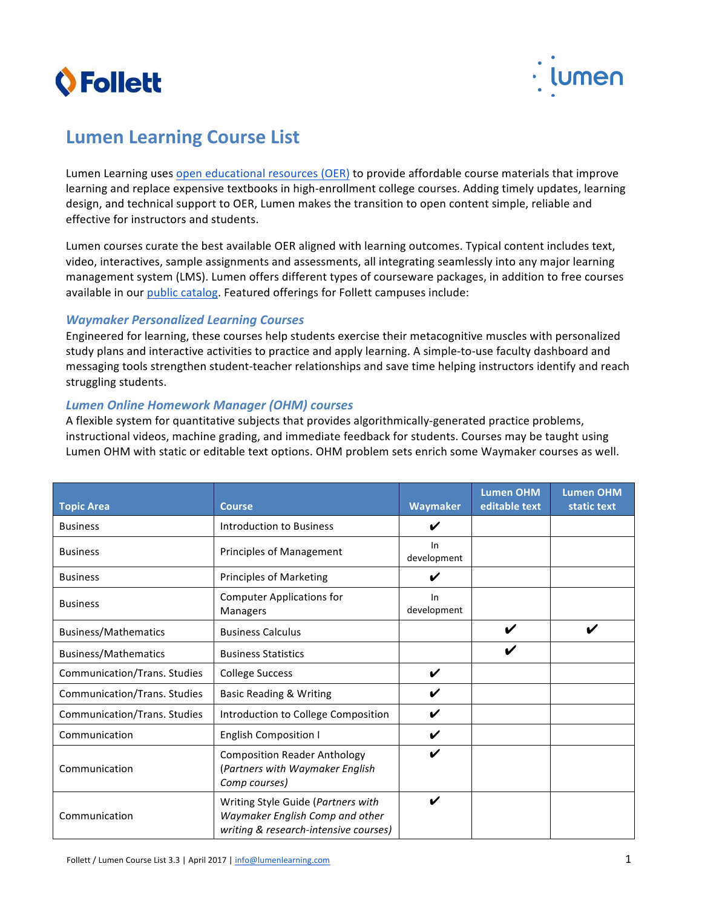



# **Lumen Learning Course List**

Lumen Learning uses open educational resources (OER) to provide affordable course materials that improve learning and replace expensive textbooks in high-enrollment college courses. Adding timely updates, learning design, and technical support to OER, Lumen makes the transition to open content simple, reliable and effective for instructors and students.

Lumen courses curate the best available OER aligned with learning outcomes. Typical content includes text, video, interactives, sample assignments and assessments, all integrating seamlessly into any major learning management system (LMS). Lumen offers different types of courseware packages, in addition to free courses available in our public catalog. Featured offerings for Follett campuses include:

#### *Waymaker Personalized Learning Courses*

Engineered for learning, these courses help students exercise their metacognitive muscles with personalized study plans and interactive activities to practice and apply learning. A simple-to-use faculty dashboard and messaging tools strengthen student-teacher relationships and save time helping instructors identify and reach struggling students.

#### *Lumen Online Homework Manager (OHM) courses*

A flexible system for quantitative subjects that provides algorithmically-generated practice problems, instructional videos, machine grading, and immediate feedback for students. Courses may be taught using Lumen OHM with static or editable text options. OHM problem sets enrich some Waymaker courses as well.

| <b>Topic Area</b>            | <b>Course</b>                                                                                                  | <b>Waymaker</b>    | <b>Lumen OHM</b><br>editable text | <b>Lumen OHM</b><br>static text |
|------------------------------|----------------------------------------------------------------------------------------------------------------|--------------------|-----------------------------------|---------------------------------|
| <b>Business</b>              | Introduction to Business                                                                                       | ✔                  |                                   |                                 |
| <b>Business</b>              | <b>Principles of Management</b>                                                                                | ln<br>development  |                                   |                                 |
| <b>Business</b>              | <b>Principles of Marketing</b>                                                                                 | V                  |                                   |                                 |
| <b>Business</b>              | <b>Computer Applications for</b><br>Managers                                                                   | In<br>development  |                                   |                                 |
| Business/Mathematics         | <b>Business Calculus</b>                                                                                       |                    | ✔                                 |                                 |
| <b>Business/Mathematics</b>  | <b>Business Statistics</b>                                                                                     |                    |                                   |                                 |
| Communication/Trans. Studies | <b>College Success</b>                                                                                         | $\boldsymbol{\nu}$ |                                   |                                 |
| Communication/Trans. Studies | <b>Basic Reading &amp; Writing</b>                                                                             | ✔                  |                                   |                                 |
| Communication/Trans. Studies | Introduction to College Composition                                                                            | V                  |                                   |                                 |
| Communication                | <b>English Composition I</b>                                                                                   |                    |                                   |                                 |
| Communication                | <b>Composition Reader Anthology</b><br>(Partners with Waymaker English<br>Comp courses)                        |                    |                                   |                                 |
| Communication                | Writing Style Guide (Partners with<br>Waymaker English Comp and other<br>writing & research-intensive courses) |                    |                                   |                                 |